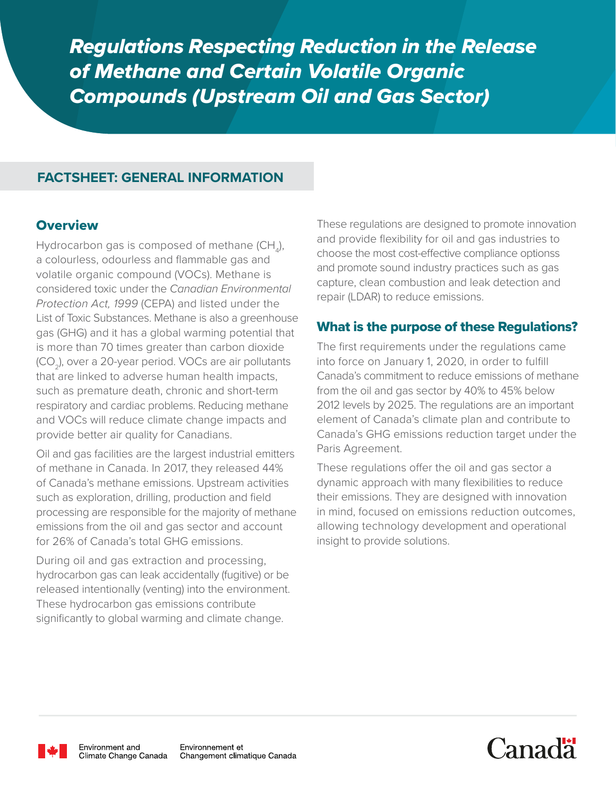*Regulations Respecting Reduction in the Release of Methane and Certain Volatile Organic Compounds (Upstream Oil and Gas Sector)*

# **FACTSHEET: GENERAL INFORMATION**

### **Overview**

Hydrocarbon gas is composed of methane (CH<sub>4</sub>), a colourless, odourless and flammable gas and volatile organic compound (VOCs). Methane is considered toxic under the *Canadian Environmental Protection Act, 1999* (CEPA) and listed under the List of Toxic Substances. Methane is also a greenhouse gas (GHG) and it has a global warming potential that is more than 70 times greater than carbon dioxide (CO2), over a 20-year period. VOCs are air pollutants that are linked to adverse human health impacts, such as premature death, chronic and short-term respiratory and cardiac problems. Reducing methane and VOCs will reduce climate change impacts and provide better air quality for Canadians.

Oil and gas facilities are the largest industrial emitters of methane in Canada. In 2017, they released 44% of Canada's methane emissions. Upstream activities such as exploration, drilling, production and field processing are responsible for the majority of methane emissions from the oil and gas sector and account for 26% of Canada's total GHG emissions.

During oil and gas extraction and processing, hydrocarbon gas can leak accidentally (fugitive) or be released intentionally (venting) into the environment. These hydrocarbon gas emissions contribute significantly to global warming and climate change.

These regulations are designed to promote innovation and provide flexibility for oil and gas industries to choose the most cost-effective compliance optionss and promote sound industry practices such as gas capture, clean combustion and leak detection and repair (LDAR) to reduce emissions.

## What is the purpose of these Regulations?

The first requirements under the regulations came into force on January 1, 2020, in order to fulfill Canada's commitment to reduce emissions of methane from the oil and gas sector by 40% to 45% below 2012 levels by 2025. The regulations are an important element of Canada's climate plan and contribute to Canada's GHG emissions reduction target under the Paris Agreement.

These regulations offer the oil and gas sector a dynamic approach with many flexibilities to reduce their emissions. They are designed with innovation in mind, focused on emissions reduction outcomes, allowing technology development and operational insight to provide solutions.